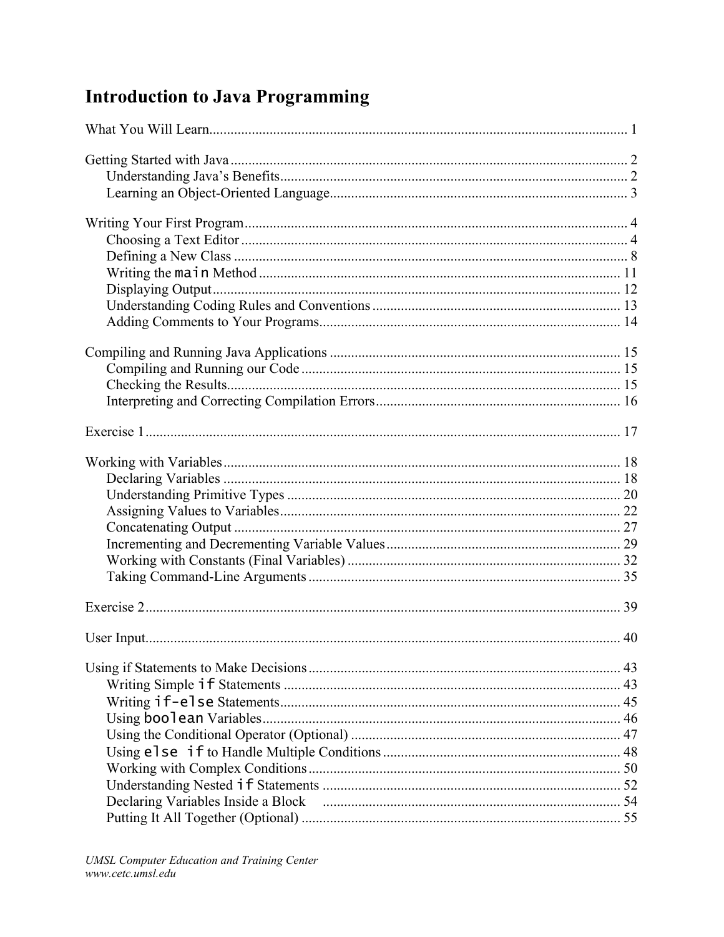## **Introduction to Java Programming**